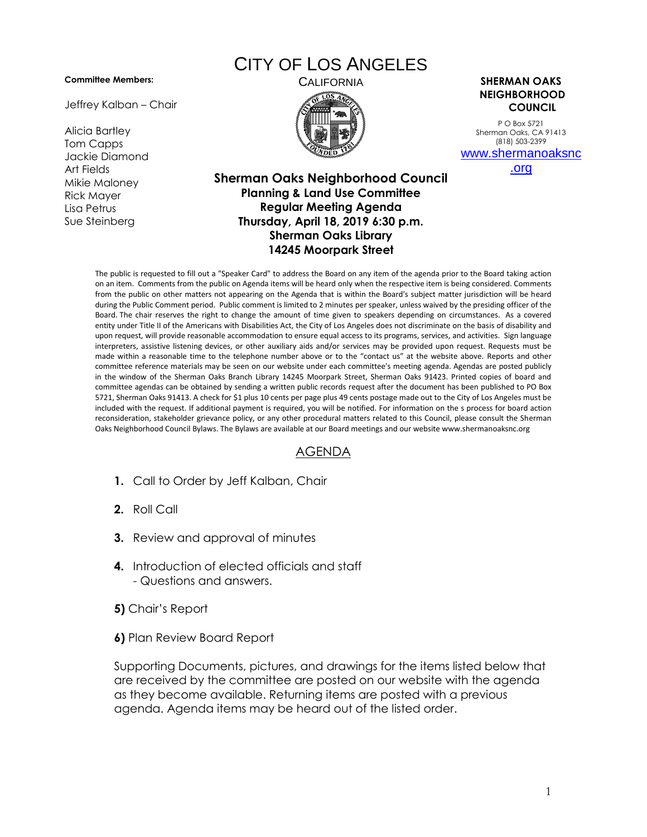## **Committee Members:**

Jeffrey Kalban – Chair

Alicia Bartley Tom Capps Jackie Diamond Art Fields Mikie Maloney Rick Mayer Lisa Petrus Sue Steinberg

## CITY OF LOS ANGELES



CALIFORNIA **SHERMAN OAKS NEIGHBORHOOD COUNCIL**

> P O Box 5721 Sherman Oaks, CA 91413 (818) 503-2399 [www.shermanoaksnc](http://www.shermanoaksnc.org/)

> > [.org](http://www.shermanoaksnc.org/)

## **Sherman Oaks Neighborhood Council Planning & Land Use Committee Regular Meeting Agenda Thursday, April 18, 2019 6:30 p.m. Sherman Oaks Library 14245 Moorpark Street**

The public is requested to fill out a "Speaker Card" to address the Board on any item of the agenda prior to the Board taking action on an item. Comments from the public on Agenda items will be heard only when the respective item is being considered. Comments from the public on other matters not appearing on the Agenda that is within the Board's subject matter jurisdiction will be heard during the Public Comment period. Public comment is limited to 2 minutes per speaker, unless waived by the presiding officer of the Board. The chair reserves the right to change the amount of time given to speakers depending on circumstances. As a covered entity under Title II of the Americans with Disabilities Act, the City of Los Angeles does not discriminate on the basis of disability and upon request, will provide reasonable accommodation to ensure equal access to its programs, services, and activities. Sign language interpreters, assistive listening devices, or other auxiliary aids and/or services may be provided upon request. Requests must be made within a reasonable time to the telephone number above or to the "contact us" at the website above. Reports and other committee reference materials may be seen on our website under each committee's meeting agenda. Agendas are posted publicly in the window of the Sherman Oaks Branch Library 14245 Moorpark Street, Sherman Oaks 91423. Printed copies of board and committee agendas can be obtained by sending a written public records request after the document has been published to PO Box 5721, Sherman Oaks 91413. A check for \$1 plus 10 cents per page plus 49 cents postage made out to the City of Los Angeles must be included with the request. If additional payment is required, you will be notified. For information on the s process for board action reconsideration, stakeholder grievance policy, or any other procedural matters related to this Council, please consult the Sherman Oaks Neighborhood Council Bylaws. The Bylaws are available at our Board meetings and our website www.shermanoaksnc.org

## AGENDA

- **1.** Call to Order by Jeff Kalban, Chair
- **2.** Roll Call
- **3.** Review and approval of minutes
- **4.** Introduction of elected officials and staff - Questions and answers.
- **5)** Chair's Report
- **6)** Plan Review Board Report

Supporting Documents, pictures, and drawings for the items listed below that are received by the committee are posted on our website with the agenda as they become available. Returning items are posted with a previous agenda. Agenda items may be heard out of the listed order.